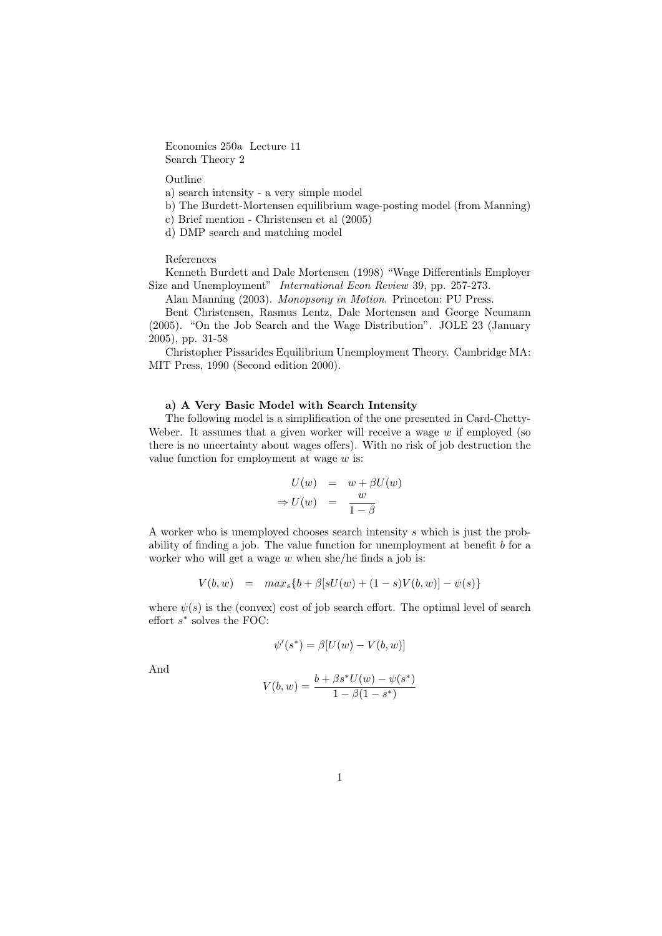Economics 250a Lecture 11 Search Theory 2

Outline

a) search intensity - a very simple model

- b) The Burdett-Mortensen equilibrium wage-posting model (from Manning)
- c) Brief mention Christensen et al (2005)

d) DMP search and matching model

References

Kenneth Burdett and Dale Mortensen (1998) "Wage Differentials Employer Size and Unemployment" International Econ Review 39, pp. 257-273.

Alan Manning (2003). Monopsony in Motion. Princeton: PU Press.

Bent Christensen, Rasmus Lentz, Dale Mortensen and George Neumann (2005). "On the Job Search and the Wage Distribution". JOLE 23 (January 2005), pp. 31-58

Christopher Pissarides Equilibrium Unemployment Theory. Cambridge MA: MIT Press, 1990 (Second edition 2000).

### a) A Very Basic Model with Search Intensity

The following model is a simplification of the one presented in Card-Chetty-Weber. It assumes that a given worker will receive a wage  $w$  if employed (so there is no uncertainty about wages offers). With no risk of job destruction the value function for employment at wage  $w$  is:

$$
U(w) = w + \beta U(w)
$$
  
\n
$$
\Rightarrow U(w) = \frac{w}{1-\beta}
$$

A worker who is unemployed chooses search intensity s which is just the probability of finding a job. The value function for unemployment at benefit b for a worker who will get a wage  $w$  when she/he finds a job is:

$$
V(b, w) = max_s \{b + \beta[sU(w) + (1 - s)V(b, w)] - \psi(s)\}\
$$

where  $\psi(s)$  is the (convex) cost of job search effort. The optimal level of search effort  $s^*$  solves the FOC:

$$
\psi'(s^*) = \beta[U(w) - V(b, w)]
$$

And

$$
V(b, w) = \frac{b + \beta s^* U(w) - \psi(s^*)}{1 - \beta(1 - s^*)}
$$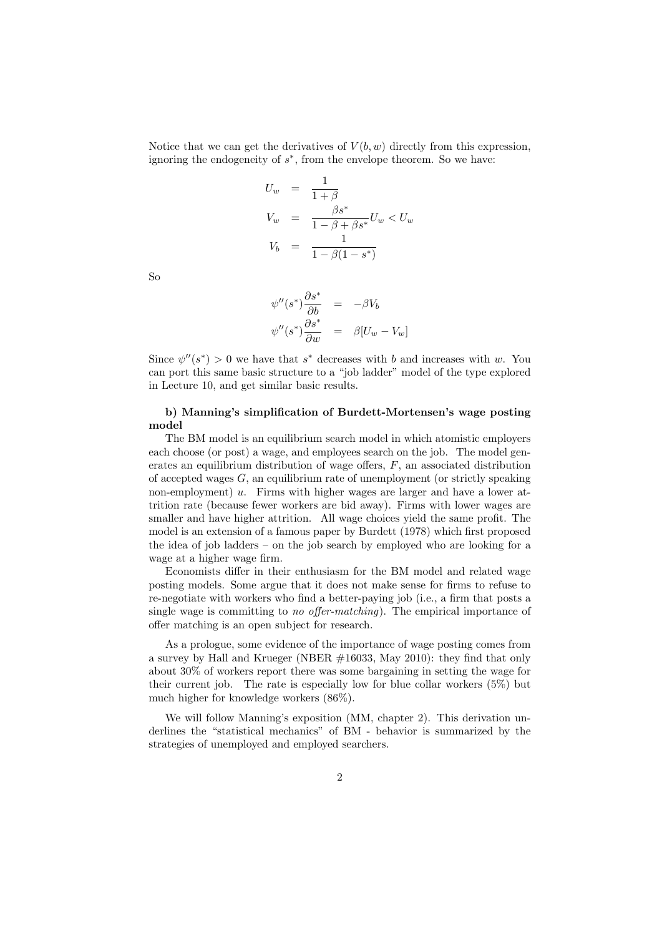Notice that we can get the derivatives of  $V(b, w)$  directly from this expression, ignoring the endogeneity of s ∗ , from the envelope theorem. So we have:

$$
U_w = \frac{1}{1+\beta}
$$
  
\n
$$
V_w = \frac{\beta s^*}{1-\beta+\beta s^*} U_w < U_w
$$
  
\n
$$
V_b = \frac{1}{1-\beta(1-s^*)}
$$

So

$$
\psi''(s^*)\frac{\partial s^*}{\partial b} = -\beta V_b
$$
  

$$
\psi''(s^*)\frac{\partial s^*}{\partial w} = \beta[U_w - V_w]
$$

Since  $\psi''(s^*) > 0$  we have that s<sup>\*</sup> decreases with b and increases with w. You can port this same basic structure to a "job ladder" model of the type explored in Lecture 10, and get similar basic results.

# b) Manning's simplification of Burdett-Mortensen's wage posting model

The BM model is an equilibrium search model in which atomistic employers each choose (or post) a wage, and employees search on the job. The model generates an equilibrium distribution of wage offers, F, an associated distribution of accepted wages  $G$ , an equilibrium rate of unemployment (or strictly speaking non-employment) u. Firms with higher wages are larger and have a lower attrition rate (because fewer workers are bid away). Firms with lower wages are smaller and have higher attrition. All wage choices yield the same profit. The model is an extension of a famous paper by Burdett (1978) which first proposed the idea of job ladders – on the job search by employed who are looking for a wage at a higher wage firm.

Economists differ in their enthusiasm for the BM model and related wage posting models. Some argue that it does not make sense for firms to refuse to re-negotiate with workers who find a better-paying job (i.e., a firm that posts a single wage is committing to no offer-matching). The empirical importance of offer matching is an open subject for research.

As a prologue, some evidence of the importance of wage posting comes from a survey by Hall and Krueger (NBER #16033, May 2010): they find that only about 30% of workers report there was some bargaining in setting the wage for their current job. The rate is especially low for blue collar workers (5%) but much higher for knowledge workers (86%).

We will follow Manning's exposition (MM, chapter 2). This derivation underlines the "statistical mechanics" of BM - behavior is summarized by the strategies of unemployed and employed searchers.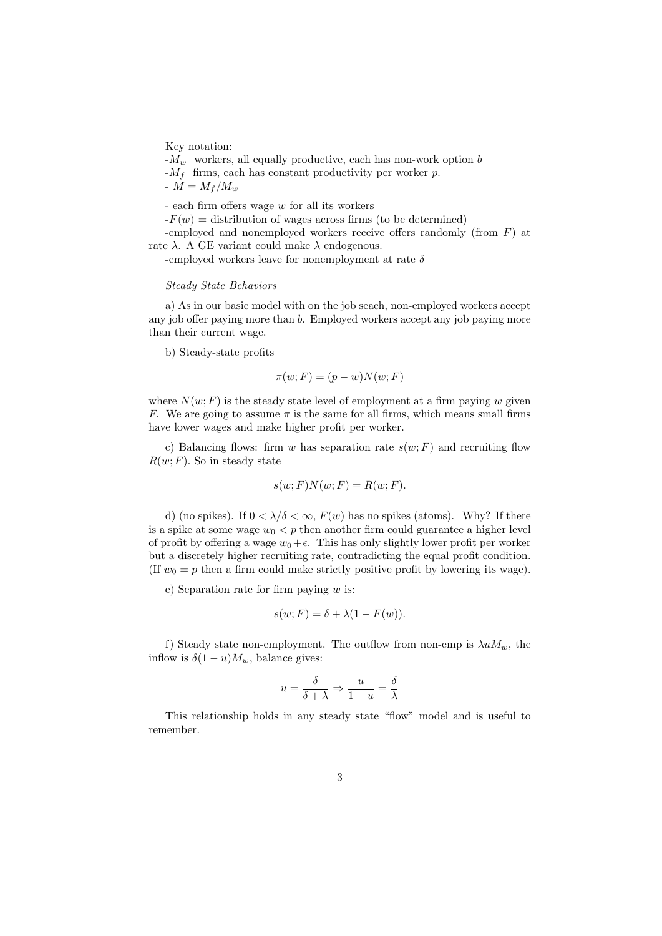Key notation:

 $-M_w$  workers, all equally productive, each has non-work option b  $-M_f$  firms, each has constant productivity per worker p. -  $M = M_f/M_w$ 

- each firm offers wage w for all its workers

 $-F(w) =$  distribution of wages across firms (to be determined)

-employed and nonemployed workers receive offers randomly (from F) at rate  $\lambda$ . A GE variant could make  $\lambda$  endogenous.

-employed workers leave for nonemployment at rate  $\delta$ 

#### Steady State Behaviors

a) As in our basic model with on the job seach, non-employed workers accept any job offer paying more than b. Employed workers accept any job paying more than their current wage.

b) Steady-state profits

$$
\pi(w; F) = (p - w)N(w; F)
$$

where  $N(w; F)$  is the steady state level of employment at a firm paying w given F. We are going to assume  $\pi$  is the same for all firms, which means small firms have lower wages and make higher profit per worker.

c) Balancing flows: firm w has separation rate  $s(w; F)$  and recruiting flow  $R(w; F)$ . So in steady state

$$
s(w; F)N(w; F) = R(w; F).
$$

d) (no spikes). If  $0 < \lambda/\delta < \infty$ ,  $F(w)$  has no spikes (atoms). Why? If there is a spike at some wage  $w_0 < p$  then another firm could guarantee a higher level of profit by offering a wage  $w_0+\epsilon$ . This has only slightly lower profit per worker but a discretely higher recruiting rate, contradicting the equal profit condition. (If  $w_0 = p$  then a firm could make strictly positive profit by lowering its wage).

e) Separation rate for firm paying  $w$  is:

$$
s(w; F) = \delta + \lambda(1 - F(w)).
$$

f) Steady state non-employment. The outflow from non-emp is  $\lambda u M_w$ , the inflow is  $\delta(1-u)M_w$ , balance gives:

$$
u = \frac{\delta}{\delta + \lambda} \Rightarrow \frac{u}{1 - u} = \frac{\delta}{\lambda}
$$

This relationship holds in any steady state "flow" model and is useful to remember.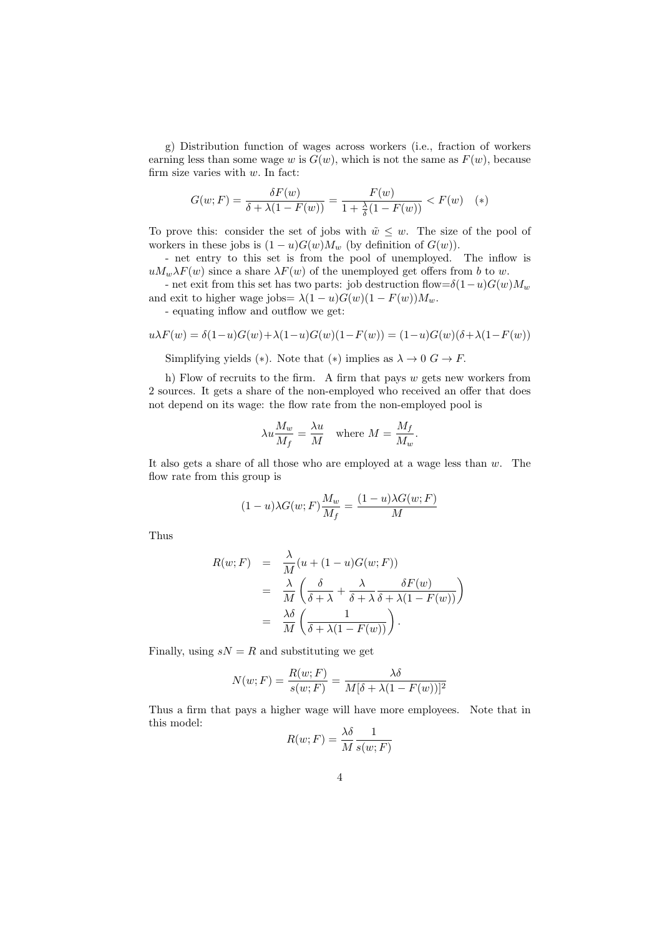g) Distribution function of wages across workers (i.e., fraction of workers earning less than some wage w is  $G(w)$ , which is not the same as  $F(w)$ , because firm size varies with  $w$ . In fact:

$$
G(w; F) = \frac{\delta F(w)}{\delta + \lambda(1 - F(w))} = \frac{F(w)}{1 + \frac{\lambda}{\delta}(1 - F(w))} < F(w) \quad (*)
$$

To prove this: consider the set of jobs with  $\tilde{w} \leq w$ . The size of the pool of workers in these jobs is  $(1 - u)G(w)M_w$  (by definition of  $G(w)$ ).

- net entry to this set is from the pool of unemployed. The inflow is  $uM_w\lambda F(w)$  since a share  $\lambda F(w)$  of the unemployed get offers from b to w.

- net exit from this set has two parts: job destruction flow= $\delta(1-u)G(w)M_w$ and exit to higher wage jobs=  $\lambda(1-u)G(w)(1-F(w))M_w$ .

- equating inflow and outflow we get:

$$
u\lambda F(w) = \delta(1-u)G(w) + \lambda(1-u)G(w)(1-F(w)) = (1-u)G(w)(\delta + \lambda(1-F(w)))
$$

Simplifying yields (\*). Note that (\*) implies as  $\lambda \to 0$   $G \to F$ .

h) Flow of recruits to the firm. A firm that pays  $w$  gets new workers from 2 sources. It gets a share of the non-employed who received an offer that does not depend on its wage: the flow rate from the non-employed pool is

$$
\lambda u \frac{M_w}{M_f} = \frac{\lambda u}{M} \quad \text{where } M = \frac{M_f}{M_w}.
$$

It also gets a share of all those who are employed at a wage less than  $w$ . The flow rate from this group is

$$
(1-u)\lambda G(w;F)\frac{M_w}{M_f} = \frac{(1-u)\lambda G(w;F)}{M}
$$

Thus

$$
R(w; F) = \frac{\lambda}{M} (u + (1 - u)G(w; F))
$$
  
= 
$$
\frac{\lambda}{M} \left( \frac{\delta}{\delta + \lambda} + \frac{\lambda}{\delta + \lambda} \frac{\delta F(w)}{\delta + \lambda (1 - F(w))} \right)
$$
  
= 
$$
\frac{\lambda \delta}{M} \left( \frac{1}{\delta + \lambda (1 - F(w))} \right).
$$

Finally, using  $sN = R$  and substituting we get

$$
N(w; F) = \frac{R(w; F)}{s(w; F)} = \frac{\lambda \delta}{M[\delta + \lambda(1 - F(w))]^2}
$$

Thus a firm that pays a higher wage will have more employees. Note that in this model:

$$
R(w;F) = \frac{\lambda \delta}{M} \frac{1}{s(w;F)}
$$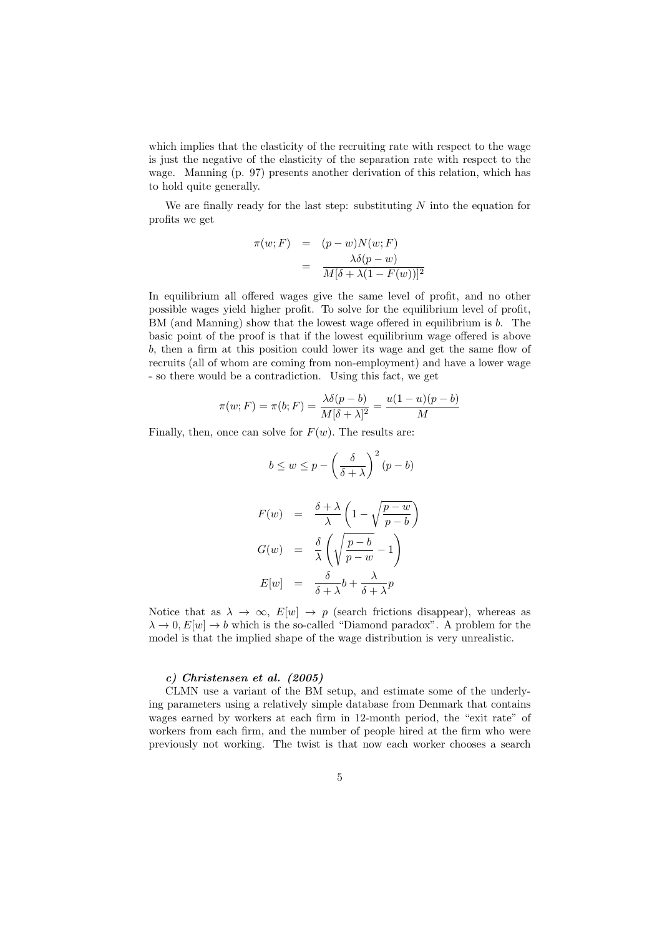which implies that the elasticity of the recruiting rate with respect to the wage is just the negative of the elasticity of the separation rate with respect to the wage. Manning (p. 97) presents another derivation of this relation, which has to hold quite generally.

We are finally ready for the last step: substituting  $N$  into the equation for profits we get

$$
\pi(w; F) = (p - w)N(w; F)
$$

$$
= \frac{\lambda \delta(p - w)}{M[\delta + \lambda(1 - F(w))]^2}
$$

In equilibrium all offered wages give the same level of profit, and no other possible wages yield higher profit. To solve for the equilibrium level of profit, BM (and Manning) show that the lowest wage offered in equilibrium is b. The basic point of the proof is that if the lowest equilibrium wage offered is above b, then a firm at this position could lower its wage and get the same flow of recruits (all of whom are coming from non-employment) and have a lower wage - so there would be a contradiction. Using this fact, we get

$$
\pi(w; F) = \pi(b; F) = \frac{\lambda \delta(p - b)}{M[\delta + \lambda]^2} = \frac{u(1 - u)(p - b)}{M}
$$

Finally, then, once can solve for  $F(w)$ . The results are:

$$
b \le w \le p - \left(\frac{\delta}{\delta + \lambda}\right)^2 (p - b)
$$
  

$$
F(w) = \frac{\delta + \lambda}{\lambda} \left(1 - \sqrt{\frac{p - w}{p - b}}\right)
$$
  

$$
G(w) = \frac{\delta}{\lambda} \left(\sqrt{\frac{p - b}{p - w}} - 1\right)
$$
  

$$
E[w] = \frac{\delta}{\delta + \lambda} b + \frac{\lambda}{\delta + \lambda} p
$$

Notice that as  $\lambda \to \infty$ ,  $E[w] \to p$  (search frictions disappear), whereas as  $\lambda \to 0, E[w] \to b$  which is the so-called "Diamond paradox". A problem for the model is that the implied shape of the wage distribution is very unrealistic.

# c) Christensen et al. (2005)

CLMN use a variant of the BM setup, and estimate some of the underlying parameters using a relatively simple database from Denmark that contains wages earned by workers at each firm in 12-month period, the "exit rate" of workers from each firm, and the number of people hired at the firm who were previously not working. The twist is that now each worker chooses a search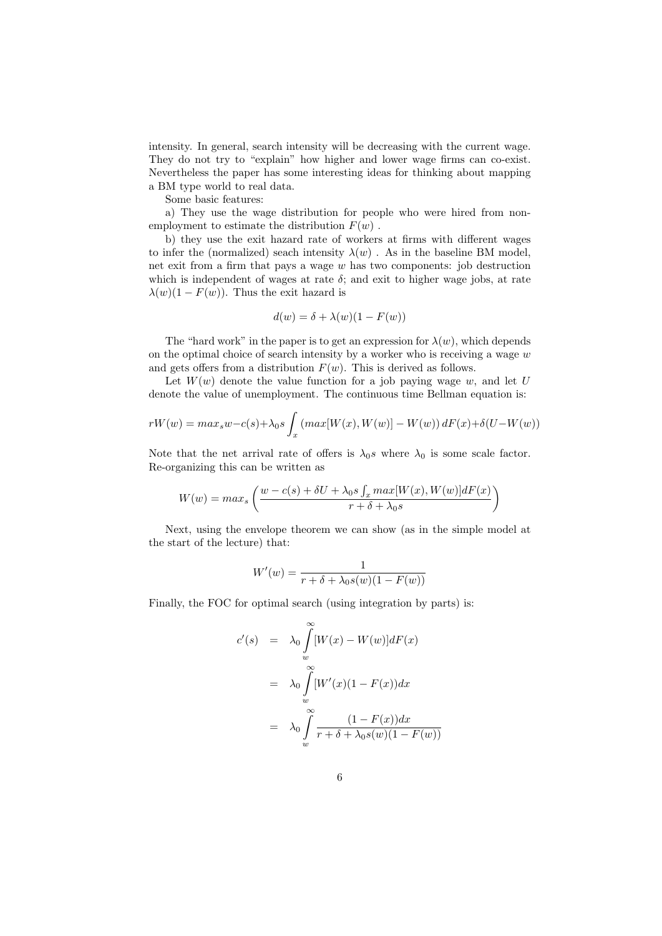intensity. In general, search intensity will be decreasing with the current wage. They do not try to "explain" how higher and lower wage firms can co-exist. Nevertheless the paper has some interesting ideas for thinking about mapping a BM type world to real data.

Some basic features:

a) They use the wage distribution for people who were hired from nonemployment to estimate the distribution  $F(w)$ .

b) they use the exit hazard rate of workers at firms with different wages to infer the (normalized) seach intensity  $\lambda(w)$ . As in the baseline BM model, net exit from a firm that pays a wage w has two components: job destruction which is independent of wages at rate  $\delta$ ; and exit to higher wage jobs, at rate  $\lambda(w)(1 - F(w))$ . Thus the exit hazard is

$$
d(w) = \delta + \lambda(w)(1 - F(w))
$$

The "hard work" in the paper is to get an expression for  $\lambda(w)$ , which depends on the optimal choice of search intensity by a worker who is receiving a wage  $w$ and gets offers from a distribution  $F(w)$ . This is derived as follows.

Let  $W(w)$  denote the value function for a job paying wage w, and let U denote the value of unemployment. The continuous time Bellman equation is:

$$
rW(w) = max_s w - c(s) + \lambda_0 s \int_x (max[W(x), W(w)] - W(w)) dF(x) + \delta(U - W(w))
$$

Note that the net arrival rate of offers is  $\lambda_0 s$  where  $\lambda_0$  is some scale factor. Re-organizing this can be written as

$$
W(w) = max_s \left( \frac{w - c(s) + \delta U + \lambda_0 s \int_x max[W(x), W(w)] dF(x)}{r + \delta + \lambda_0 s} \right)
$$

Next, using the envelope theorem we can show (as in the simple model at the start of the lecture) that:

$$
W'(w) = \frac{1}{r + \delta + \lambda_0 s(w)(1 - F(w))}
$$

Finally, the FOC for optimal search (using integration by parts) is:

$$
c'(s) = \lambda_0 \int_w^{\infty} [W(x) - W(w)] dF(x)
$$
  
=  $\lambda_0 \int_w^{\infty} [W'(x)(1 - F(x)) dx$   
=  $\lambda_0 \int_w^{\infty} \frac{(1 - F(x)) dx}{r + \delta + \lambda_0 s(w)(1 - F(w))}$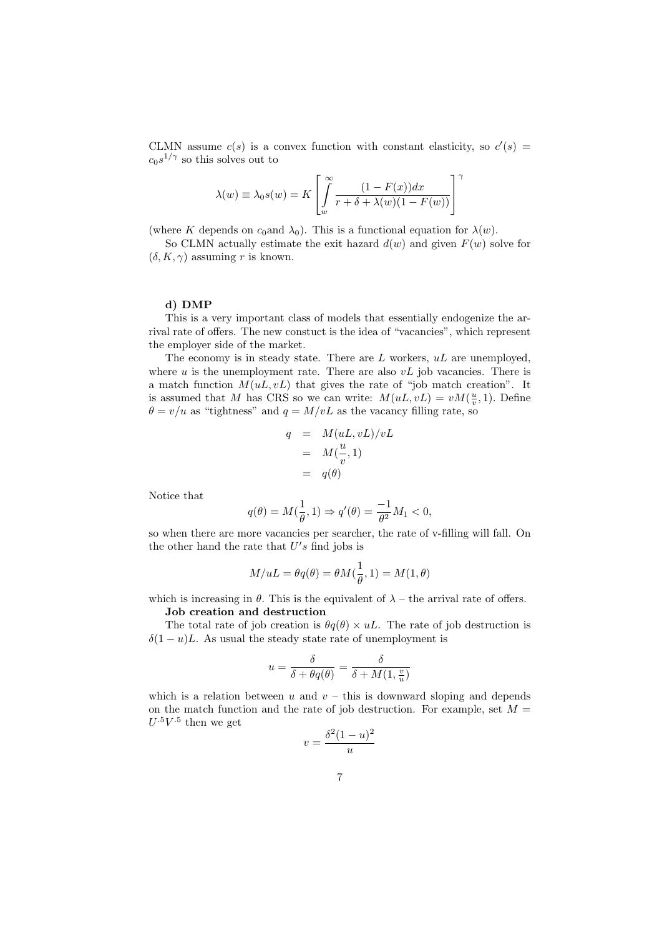CLMN assume  $c(s)$  is a convex function with constant elasticity, so  $c'(s)$  $c_0 s^{1/\gamma}$  so this solves out to

$$
\lambda(w) \equiv \lambda_0 s(w) = K \left[ \int_{w}^{\infty} \frac{(1 - F(x))dx}{r + \delta + \lambda(w)(1 - F(w))} \right]^{\gamma}
$$

(where K depends on  $c_0$  and  $\lambda_0$ ). This is a functional equation for  $\lambda(w)$ .

So CLMN actually estimate the exit hazard  $d(w)$  and given  $F(w)$  solve for  $(\delta, K, \gamma)$  assuming r is known.

#### d) DMP

This is a very important class of models that essentially endogenize the arrival rate of offers. The new constuct is the idea of "vacancies", which represent the employer side of the market.

The economy is in steady state. There are  $L$  workers,  $uL$  are unemployed, where  $u$  is the unemployment rate. There are also  $vL$  job vacancies. There is a match function  $M(uL, vL)$  that gives the rate of "job match creation". It is assumed that M has CRS so we can write:  $M(uL, vL) = vM(\frac{u}{v}, 1)$ . Define  $\theta = v/u$  as "tightness" and  $q = M/vL$  as the vacancy filling rate, so

$$
q = M(uL, vL)/vL
$$
  
=  $M(\frac{u}{v}, 1)$   
=  $q(\theta)$ 

Notice that

$$
q(\theta) = M(\frac{1}{\theta}, 1) \Rightarrow q'(\theta) = \frac{-1}{\theta^2} M_1 < 0,
$$

so when there are more vacancies per searcher, the rate of v-filling will fall. On the other hand the rate that  $U's$  find jobs is

$$
M/uL=\theta q(\theta)=\theta M(\frac{1}{\theta},1)=M(1,\theta)
$$

which is increasing in  $\theta$ . This is the equivalent of  $\lambda$  – the arrival rate of offers.

### Job creation and destruction

The total rate of job creation is  $\theta q(\theta) \times uL$ . The rate of job destruction is  $\delta(1-u)L$ . As usual the steady state rate of unemployment is

$$
u = \frac{\delta}{\delta + \theta q(\theta)} = \frac{\delta}{\delta + M(1, \frac{v}{u})}
$$

which is a relation between u and  $v -$  this is downward sloping and depends on the match function and the rate of job destruction. For example, set  $M =$  $U^{.5}V^{.5}$  then we get

$$
v = \frac{\delta^2 (1 - u)^2}{u}
$$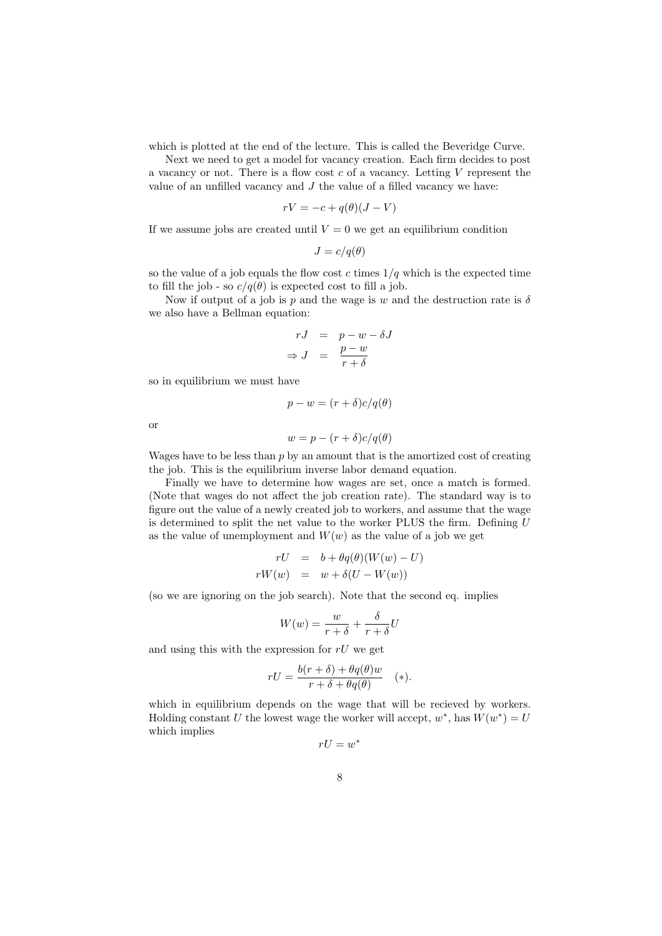which is plotted at the end of the lecture. This is called the Beveridge Curve.

Next we need to get a model for vacancy creation. Each firm decides to post a vacancy or not. There is a flow cost  $c$  of a vacancy. Letting  $V$  represent the value of an unfilled vacancy and  $J$  the value of a filled vacancy we have:

$$
rV = -c + q(\theta)(J - V)
$$

If we assume jobs are created until  $V = 0$  we get an equilibrium condition

$$
J = c/q(\theta)
$$

so the value of a job equals the flow cost c times  $1/q$  which is the expected time to fill the job - so  $c/q(\theta)$  is expected cost to fill a job.

Now if output of a job is p and the wage is w and the destruction rate is  $\delta$ we also have a Bellman equation:

$$
rJ = p - w - \delta J
$$
  
\n
$$
\Rightarrow J = \frac{p - w}{r + \delta}
$$

so in equilibrium we must have

$$
p - w = (r + \delta)c/q(\theta)
$$

or

$$
w = p - (r + \delta)c/q(\theta)
$$

Wages have to be less than  $p$  by an amount that is the amortized cost of creating the job. This is the equilibrium inverse labor demand equation.

Finally we have to determine how wages are set, once a match is formed. (Note that wages do not affect the job creation rate). The standard way is to figure out the value of a newly created job to workers, and assume that the wage is determined to split the net value to the worker PLUS the firm. Defining U as the value of unemployment and  $W(w)$  as the value of a job we get

$$
rU = b + \theta q(\theta)(W(w) - U)
$$
  

$$
rW(w) = w + \delta(U - W(w))
$$

(so we are ignoring on the job search). Note that the second eq. implies

$$
W(w) = \frac{w}{r+\delta} + \frac{\delta}{r+\delta}U
$$

and using this with the expression for  $rU$  we get

$$
rU = \frac{b(r+\delta) + \theta q(\theta)w}{r+\delta + \theta q(\theta)} \quad (*)
$$

which in equilibrium depends on the wage that will be recieved by workers. Holding constant U the lowest wage the worker will accept,  $w^*$ , has  $W(w^*) = U$ which implies

$$
rU=w
$$

∗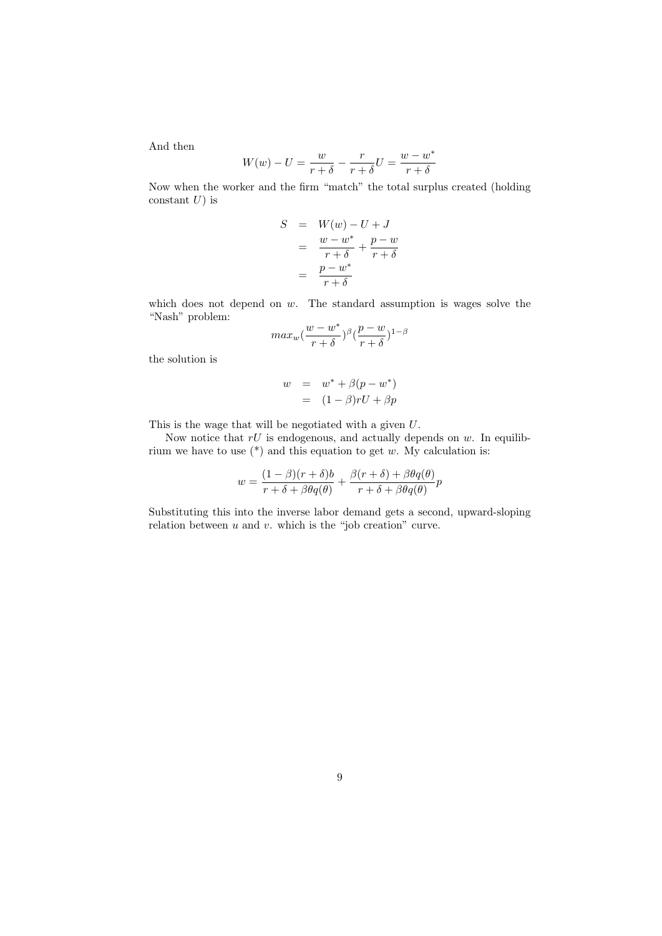And then

$$
W(w) - U = \frac{w}{r+\delta} - \frac{r}{r+\delta}U = \frac{w-w^*}{r+\delta}
$$

Now when the worker and the firm "match" the total surplus created (holding constant  $U$ ) is

$$
S = W(w) - U + J
$$
  
= 
$$
\frac{w - w^*}{r + \delta} + \frac{p - w}{r + \delta}
$$
  
= 
$$
\frac{p - w^*}{r + \delta}
$$

which does not depend on  $w$ . The standard assumption is wages solve the "Nash" problem:

$$
max_w(\frac{w-w^*}{r+\delta})^{\beta}(\frac{p-w}{r+\delta})^{1-\beta}
$$

the solution is

$$
w = w^* + \beta(p - w^*)
$$
  
= 
$$
(1 - \beta)rU + \beta p
$$

This is the wage that will be negotiated with a given U.

Now notice that  $rU$  is endogenous, and actually depends on  $w$ . In equilibrium we have to use  $(*)$  and this equation to get w. My calculation is:

$$
w = \frac{(1 - \beta)(r + \delta)b}{r + \delta + \beta \theta q(\theta)} + \frac{\beta(r + \delta) + \beta \theta q(\theta)}{r + \delta + \beta \theta q(\theta)} p
$$

Substituting this into the inverse labor demand gets a second, upward-sloping relation between  $u$  and  $v$ . which is the "job creation" curve.